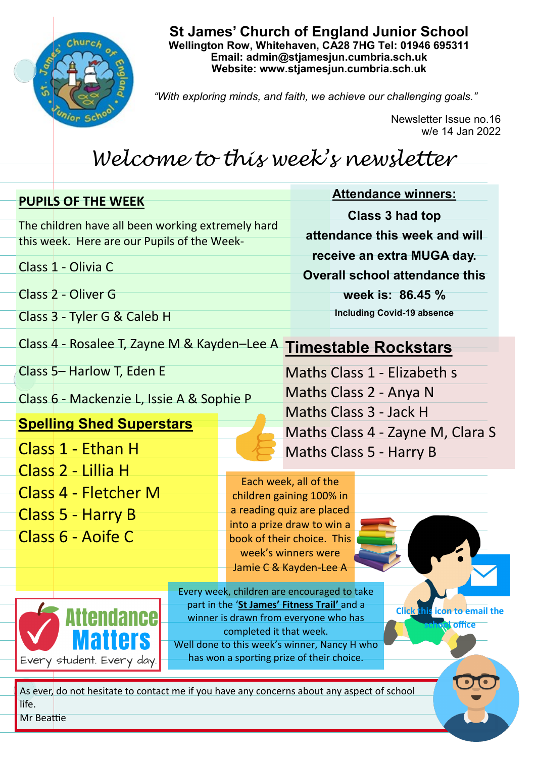

## **St James' Church of England Junior School Wellington Row, Whitehaven, CA28 7HG Tel: 01946 695311 Email: admin@stjamesjun.cumbria.sch.uk Website: www.stjamesjun.cumbria.sch.uk**

*"With exploring minds, and faith, we achieve our challenging goals."*

Newsletter Issue no.16 w/e 14 Jan 2022

## *Welcome to this week's newsletter*

| <b>PUPILS OF THE WEEK</b>                                                                        | <b>Attendance winners:</b>                               |
|--------------------------------------------------------------------------------------------------|----------------------------------------------------------|
|                                                                                                  | Class 3 had top                                          |
| The children have all been working extremely hard<br>this week. Here are our Pupils of the Week- | attendance this week and will                            |
|                                                                                                  | receive an extra MUGA day.                               |
| Class 1 - Olivia C                                                                               | <b>Overall school attendance this</b>                    |
| Class 2 - Oliver G                                                                               | week is: 86.45 %                                         |
| Class 3 - Tyler G & Caleb H                                                                      | <b>Including Covid-19 absence</b>                        |
|                                                                                                  |                                                          |
| Class 4 - Rosalee T, Zayne M & Kayden-Lee A<br><b>Timestable Rockstars</b>                       |                                                          |
| Class 5- Harlow T, Eden E                                                                        | Maths Class 1 - Elizabeth s                              |
| Class 6 - Mackenzie L, Issie A & Sophie P                                                        | Maths Class 2 - Anya N                                   |
| Maths Class 3 - Jack H                                                                           |                                                          |
| <b>Spelling Shed Superstars</b>                                                                  | Maths Class 4 - Zayne M, Clara S                         |
| Class 1 - Ethan H                                                                                | Maths Class 5 - Harry B                                  |
| Class 2 - Lillia H                                                                               |                                                          |
| Class 4 - Fletcher M                                                                             | Each week, all of the<br>children gaining 100% in        |
| Class 5 - Harry B                                                                                | a reading quiz are placed                                |
| Class 6 - Aoife C                                                                                | into a prize draw to win a<br>book of their choice. This |
|                                                                                                  | week's winners were                                      |
|                                                                                                  | Jamie C & Kayden-Lee A                                   |
|                                                                                                  | Every week, children are encouraged to take              |
| part in the 'St James' Fitness Trail' and a<br><b>Click this icon to email the</b><br>Attendance |                                                          |
| winner is drawn from everyone who has<br><b>office</b><br>completed it that week.                |                                                          |
| <b>Matters</b><br>Well done to this week's winner, Nancy H who                                   |                                                          |
| has won a sporting prize of their choice.<br>Every student. Every day.                           |                                                          |
| As ever, do not hesitate to contact me if you have any concerns about any aspect of school       |                                                          |
| life.                                                                                            |                                                          |
| Mr Beattie                                                                                       |                                                          |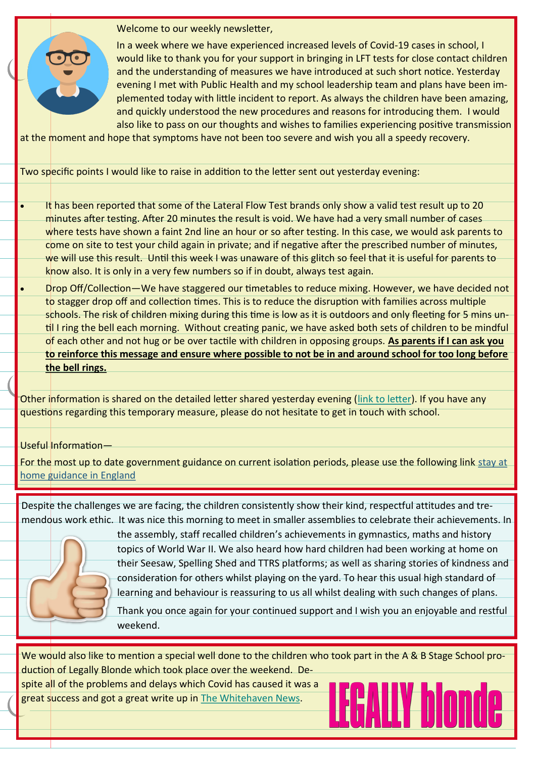

Welcome to our weekly newsletter,

In a week where we have experienced increased levels of Covid-19 cases in school, I would like to thank you for your support in bringing in LFT tests for close contact children and the understanding of measures we have introduced at such short notice. Yesterday evening I met with Public Health and my school leadership team and plans have been implemented today with little incident to report. As always the children have been amazing, and quickly understood the new procedures and reasons for introducing them. I would also like to pass on our thoughts and wishes to families experiencing positive transmission

at the moment and hope that symptoms have not been too severe and wish you all a speedy recovery.

Two specific points I would like to raise in addition to the letter sent out yesterday evening:

- It has been reported that some of the Lateral Flow Test brands only show a valid test result up to 20 minutes after testing. After 20 minutes the result is void. We have had a very small number of cases where tests have shown a faint 2nd line an hour or so after testing. In this case, we would ask parents to come on site to test your child again in private; and if negative after the prescribed number of minutes, we will use this result. Until this week I was unaware of this glitch so feel that it is useful for parents to know also. It is only in a very few numbers so if in doubt, always test again.
- Drop Off/Collection—We have staggered our timetables to reduce mixing. However, we have decided not to stagger drop off and collection times. This is to reduce the disruption with families across multiple schools. The risk of children mixing during this time is low as it is outdoors and only fleeting for 5 mins until I ring the bell each morning. Without creating panic, we have asked both sets of children to be mindful of each other and not hug or be over tactile with children in opposing groups. **As parents if I can ask you to reinforce this message and ensure where possible to not be in and around school for too long before the bell rings.**

Other information is shared on the detailed letter shared yesterday evening [\(link to letter\).](chrome-extension://efaidnbmnnnibpcajpcglclefindmkaj/viewer.html?pdfurl=http%3A%2F%2Fwww.stjamesjun.cumbria.sch.uk%2Fserve_file%2F4550223&clen=679712) If you have any questions regarding this temporary measure, please do not hesitate to get in touch with school.

Useful Information—

For the most up to date government guidance on current isolation periods, please use the following link [stay at](https://lnks.gd/l/eyJhbGciOiJIUzI1NiJ9.eyJidWxsZXRpbl9saW5rX2lkIjoxMDEsInVyaSI6ImJwMjpjbGljayIsImJ1bGxldGluX2lkIjoiMjAyMjAxMTMuNTE3NDQ0MzEiLCJ1cmwiOiJodHRwczovL3d3dy5nb3YudWsvZ292ZXJubWVudC9wdWJsaWNhdGlvbnMvY292aWQtMTktc3RheS1hdC1ob21lLWd1aWRhbmNlIn0._1mENRcH)  [home guidance in England](https://lnks.gd/l/eyJhbGciOiJIUzI1NiJ9.eyJidWxsZXRpbl9saW5rX2lkIjoxMDEsInVyaSI6ImJwMjpjbGljayIsImJ1bGxldGluX2lkIjoiMjAyMjAxMTMuNTE3NDQ0MzEiLCJ1cmwiOiJodHRwczovL3d3dy5nb3YudWsvZ292ZXJubWVudC9wdWJsaWNhdGlvbnMvY292aWQtMTktc3RheS1hdC1ob21lLWd1aWRhbmNlIn0._1mENRcH)

Despite the challenges we are facing, the children consistently show their kind, respectful attitudes and tremendous work ethic. It was nice this morning to meet in smaller assemblies to celebrate their achievements. In



the assembly, staff recalled children's achievements in gymnastics, maths and history topics of World War II. We also heard how hard children had been working at home on their Seesaw, Spelling Shed and TTRS platforms; as well as sharing stories of kindness and consideration for others whilst playing on the yard. To hear this usual high standard of learning and behaviour is reassuring to us all whilst dealing with such changes of plans.

Thank you once again for your continued support and I wish you an enjoyable and restful weekend.

We would also like to mention a special well done to the children who took part in the A & B Stage School production of Legally Blonde which took place over the weekend. De-

spite all of the problems and delays which Covid has caused it was a great success and got a great write up in [The Whitehaven News.](https://www.whitehavennews.co.uk/news/17117675.theatre-review-legally-blonde/)